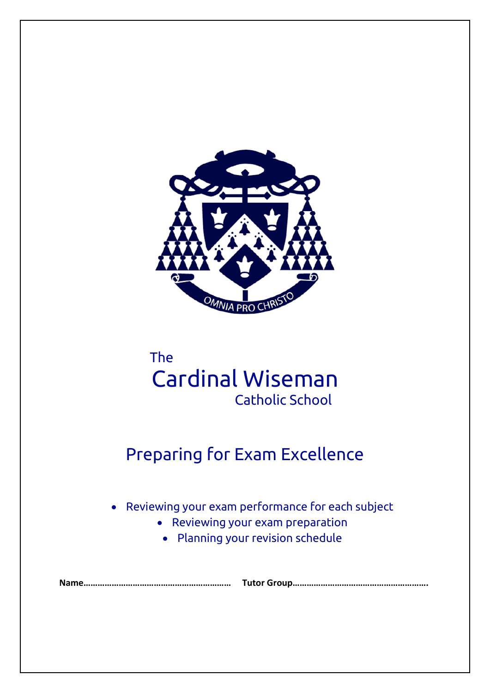

# The Cardinal Wiseman Catholic School

# Preparing for Exam Excellence

Reviewing your exam performance for each subject

- Reviewing your exam preparation
	- Planning your revision schedule

**Name……………………………………………………… Tutor Group………………………………………………….**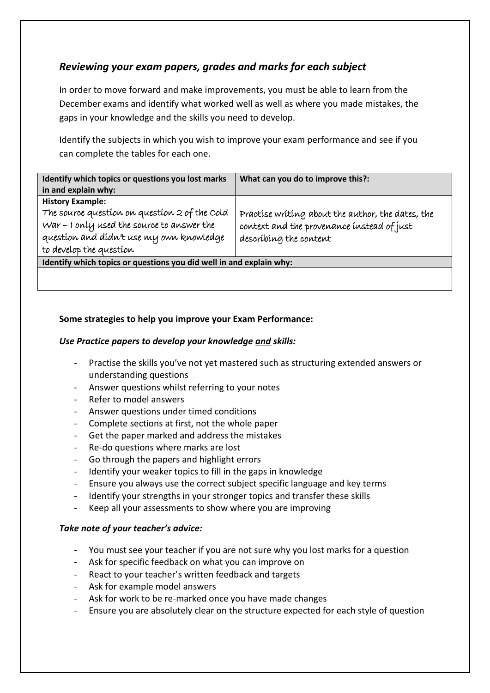# *Reviewing your exam papers, grades and marks for each subject*

In order to move forward and make improvements, you must be able to learn from the December exams and identify what worked well as well as where you made mistakes, the gaps in your knowledge and the skills you need to develop.

Identify the subjects in which you wish to improve your exam performance and see if you can complete the tables for each one.

| Identify which topics or questions you lost marks<br>in and explain why:                                                                                                                      | What can you do to improve this?:                                                                                         |  |
|-----------------------------------------------------------------------------------------------------------------------------------------------------------------------------------------------|---------------------------------------------------------------------------------------------------------------------------|--|
| <b>History Example:</b><br>The source question on question 2 of the Cold<br>War - I only used the source to answer the<br>question and didn't use my own knowledge<br>to develop the question | Practise writing about the author, the dates, the<br>context and the provenance instead of just<br>describing the content |  |
| Identify which topics or questions you did well in and explain why:                                                                                                                           |                                                                                                                           |  |
|                                                                                                                                                                                               |                                                                                                                           |  |

# **Some strategies to help you improve your Exam Performance:**

# *Use Practice papers to develop your knowledge and skills:*

- Practise the skills you've not yet mastered such as structuring extended answers or understanding questions
- Answer questions whilst referring to your notes
- Refer to model answers
- Answer questions under timed conditions
- Complete sections at first, not the whole paper
- Get the paper marked and address the mistakes
- Re-do questions where marks are lost
- Go through the papers and highlight errors
- Identify your weaker topics to fill in the gaps in knowledge
- Ensure you always use the correct subject specific language and key terms
- Identify your strengths in your stronger topics and transfer these skills
- Keep all your assessments to show where you are improving

## *Take note of your teacher's advice:*

- You must see your teacher if you are not sure why you lost marks for a question
- Ask for specific feedback on what you can improve on
- React to your teacher's written feedback and targets
- Ask for example model answers
- Ask for work to be re-marked once you have made changes
- Ensure you are absolutely clear on the structure expected for each style of question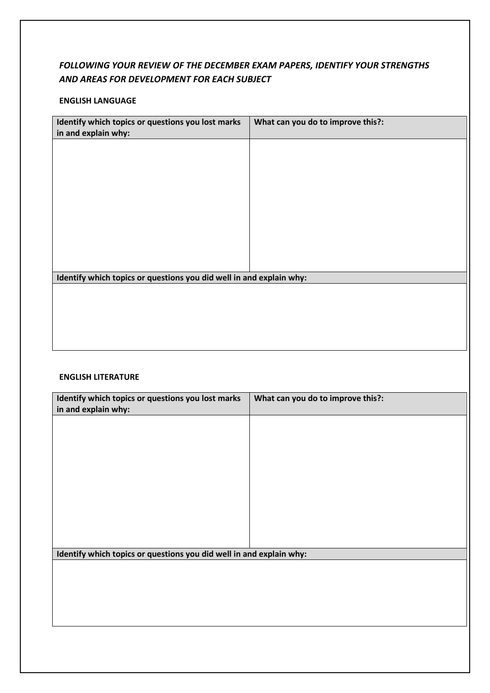# *FOLLOWING YOUR REVIEW OF THE DECEMBER EXAM PAPERS, IDENTIFY YOUR STRENGTHS AND AREAS FOR DEVELOPMENT FOR EACH SUBJECT*

## **ENGLISH LANGUAGE**

| Identify which topics or questions you lost marks<br>in and explain why: | What can you do to improve this?: |
|--------------------------------------------------------------------------|-----------------------------------|
|                                                                          |                                   |
|                                                                          |                                   |
|                                                                          |                                   |
|                                                                          |                                   |
|                                                                          |                                   |
|                                                                          |                                   |
| Identify which topics or questions you did well in and explain why:      |                                   |
|                                                                          |                                   |
|                                                                          |                                   |
|                                                                          |                                   |
|                                                                          |                                   |
| <b>ENGLISH LITERATURE</b>                                                |                                   |

| Identify which topics or questions you lost marks<br>in and explain why: | What can you do to improve this?: |
|--------------------------------------------------------------------------|-----------------------------------|
|                                                                          |                                   |
|                                                                          |                                   |
|                                                                          |                                   |
|                                                                          |                                   |
|                                                                          |                                   |
|                                                                          |                                   |
|                                                                          |                                   |
| Identify which topics or questions you did well in and explain why:      |                                   |
|                                                                          |                                   |
|                                                                          |                                   |
|                                                                          |                                   |
|                                                                          |                                   |
|                                                                          |                                   |
|                                                                          |                                   |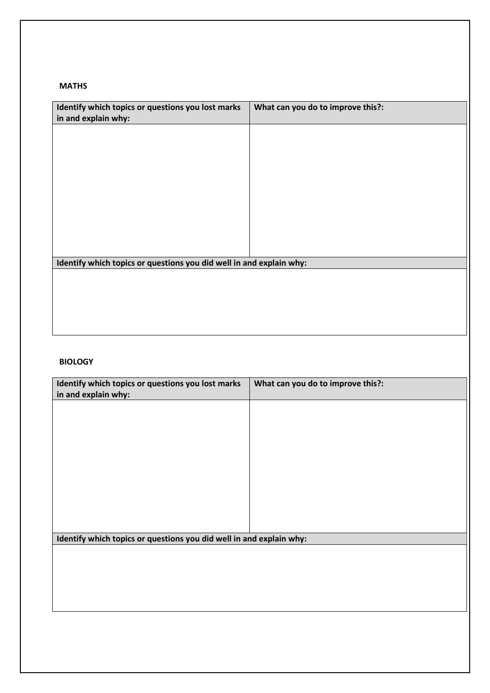### **MATHS**

| Identify which topics or questions you lost marks                   | What can you do to improve this?: |
|---------------------------------------------------------------------|-----------------------------------|
| in and explain why:                                                 |                                   |
|                                                                     |                                   |
|                                                                     |                                   |
|                                                                     |                                   |
|                                                                     |                                   |
|                                                                     |                                   |
|                                                                     |                                   |
|                                                                     |                                   |
|                                                                     |                                   |
|                                                                     |                                   |
|                                                                     |                                   |
|                                                                     |                                   |
|                                                                     |                                   |
|                                                                     |                                   |
|                                                                     |                                   |
|                                                                     |                                   |
| Identify which topics or questions you did well in and explain why: |                                   |
|                                                                     |                                   |
|                                                                     |                                   |
|                                                                     |                                   |
|                                                                     |                                   |
|                                                                     |                                   |
|                                                                     |                                   |
|                                                                     |                                   |

## **BIOLOGY**

| Identify which topics or questions you lost marks<br>in and explain why: | What can you do to improve this?: |
|--------------------------------------------------------------------------|-----------------------------------|
|                                                                          |                                   |
|                                                                          |                                   |
|                                                                          |                                   |
|                                                                          |                                   |
|                                                                          |                                   |
|                                                                          |                                   |
|                                                                          |                                   |
| Identify which topics or questions you did well in and explain why:      |                                   |
|                                                                          |                                   |
|                                                                          |                                   |
|                                                                          |                                   |
|                                                                          |                                   |
|                                                                          |                                   |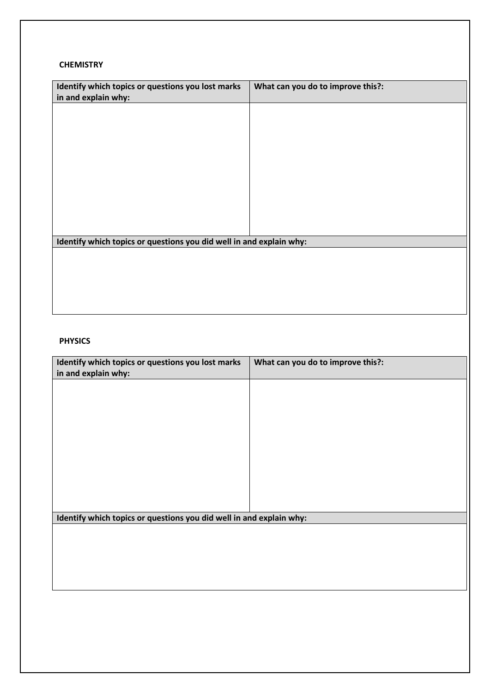#### **CHEMISTRY**

| Identify which topics or questions you lost marks                   | What can you do to improve this?: |
|---------------------------------------------------------------------|-----------------------------------|
| in and explain why:                                                 |                                   |
|                                                                     |                                   |
|                                                                     |                                   |
|                                                                     |                                   |
|                                                                     |                                   |
|                                                                     |                                   |
|                                                                     |                                   |
|                                                                     |                                   |
|                                                                     |                                   |
|                                                                     |                                   |
|                                                                     |                                   |
|                                                                     |                                   |
|                                                                     |                                   |
|                                                                     |                                   |
| Identify which topics or questions you did well in and explain why: |                                   |
|                                                                     |                                   |
|                                                                     |                                   |
|                                                                     |                                   |
|                                                                     |                                   |
|                                                                     |                                   |
|                                                                     |                                   |

# **PHYSICS**

| Identify which topics or questions you lost marks<br>in and explain why: | What can you do to improve this?: |
|--------------------------------------------------------------------------|-----------------------------------|
|                                                                          |                                   |
|                                                                          |                                   |
|                                                                          |                                   |
|                                                                          |                                   |
|                                                                          |                                   |
|                                                                          |                                   |
| Identify which topics or questions you did well in and explain why:      |                                   |
|                                                                          |                                   |
|                                                                          |                                   |
|                                                                          |                                   |
|                                                                          |                                   |
|                                                                          |                                   |
|                                                                          |                                   |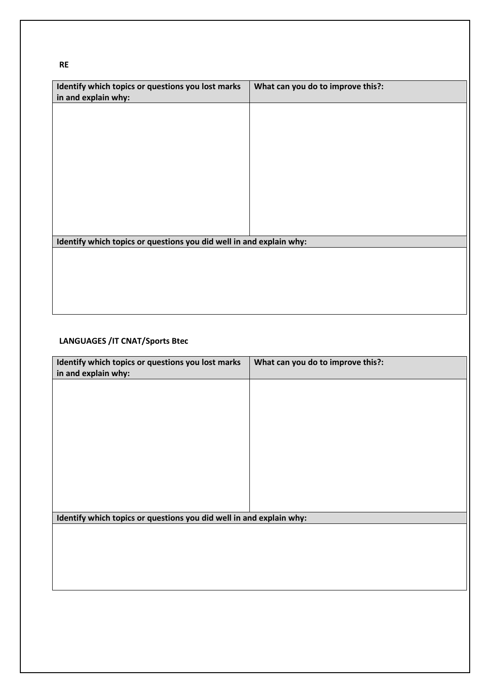**RE**

| .                                                                        |                                   |
|--------------------------------------------------------------------------|-----------------------------------|
| Identify which topics or questions you lost marks<br>in and explain why: | What can you do to improve this?: |
|                                                                          |                                   |
|                                                                          |                                   |
|                                                                          |                                   |
|                                                                          |                                   |
|                                                                          |                                   |
|                                                                          |                                   |
|                                                                          |                                   |
| Identify which topics or questions you did well in and explain why:      |                                   |
|                                                                          |                                   |
|                                                                          |                                   |
|                                                                          |                                   |
|                                                                          |                                   |

## **LANGUAGES /IT CNAT/Sports Btec**

| Identify which topics or questions you lost marks<br>in and explain why: | What can you do to improve this?: |
|--------------------------------------------------------------------------|-----------------------------------|
|                                                                          |                                   |
|                                                                          |                                   |
|                                                                          |                                   |
|                                                                          |                                   |
|                                                                          |                                   |
|                                                                          |                                   |
| Identify which topics or questions you did well in and explain why:      |                                   |
|                                                                          |                                   |
|                                                                          |                                   |
|                                                                          |                                   |
|                                                                          |                                   |
|                                                                          |                                   |
|                                                                          |                                   |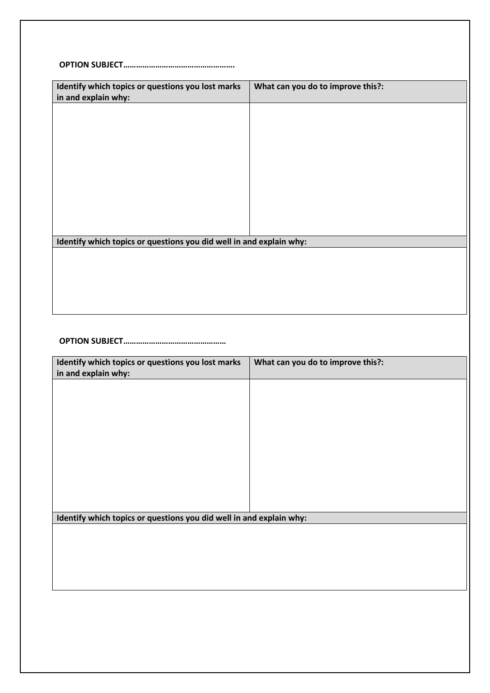**OPTION SUBJECT…………………………………………….**

| Identify which topics or questions you lost marks                   | What can you do to improve this?: |
|---------------------------------------------------------------------|-----------------------------------|
| in and explain why:                                                 |                                   |
|                                                                     |                                   |
|                                                                     |                                   |
|                                                                     |                                   |
|                                                                     |                                   |
|                                                                     |                                   |
|                                                                     |                                   |
|                                                                     |                                   |
|                                                                     |                                   |
|                                                                     |                                   |
|                                                                     |                                   |
|                                                                     |                                   |
|                                                                     |                                   |
|                                                                     |                                   |
|                                                                     |                                   |
|                                                                     |                                   |
|                                                                     |                                   |
|                                                                     |                                   |
|                                                                     |                                   |
| Identify which topics or questions you did well in and explain why: |                                   |
|                                                                     |                                   |
|                                                                     |                                   |
|                                                                     |                                   |
|                                                                     |                                   |
|                                                                     |                                   |
|                                                                     |                                   |
|                                                                     |                                   |
|                                                                     |                                   |
|                                                                     |                                   |

**OPTION SUBJECT…………………………………………**

| Identify which topics or questions you lost marks                   | What can you do to improve this?: |
|---------------------------------------------------------------------|-----------------------------------|
| in and explain why:                                                 |                                   |
|                                                                     |                                   |
|                                                                     |                                   |
|                                                                     |                                   |
|                                                                     |                                   |
|                                                                     |                                   |
|                                                                     |                                   |
|                                                                     |                                   |
|                                                                     |                                   |
| Identify which topics or questions you did well in and explain why: |                                   |
|                                                                     |                                   |
|                                                                     |                                   |
|                                                                     |                                   |
|                                                                     |                                   |
|                                                                     |                                   |
|                                                                     |                                   |
|                                                                     |                                   |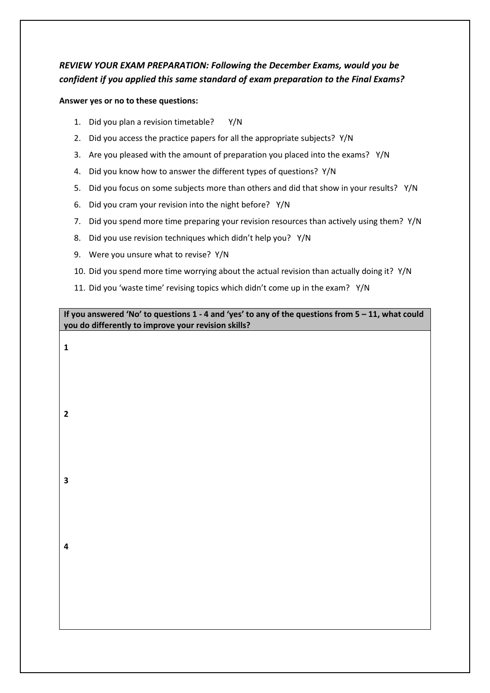# *REVIEW YOUR EXAM PREPARATION: Following the December Exams, would you be confident if you applied this same standard of exam preparation to the Final Exams?*

## **Answer yes or no to these questions:**

- 1. Did you plan a revision timetable? Y/N
- 2. Did you access the practice papers for all the appropriate subjects? Y/N
- 3. Are you pleased with the amount of preparation you placed into the exams? Y/N
- 4. Did you know how to answer the different types of questions? Y/N
- 5. Did you focus on some subjects more than others and did that show in your results? Y/N
- 6. Did you cram your revision into the night before? Y/N
- 7. Did you spend more time preparing your revision resources than actively using them? Y/N
- 8. Did you use revision techniques which didn't help you? Y/N
- 9. Were you unsure what to revise? Y/N
- 10. Did you spend more time worrying about the actual revision than actually doing it? Y/N
- 11. Did you 'waste time' revising topics which didn't come up in the exam? Y/N

**If you answered 'No' to questions 1 - 4 and 'yes' to any of the questions from 5 – 11, what could you do differently to improve your revision skills?**

**2 3**

**4**

**1**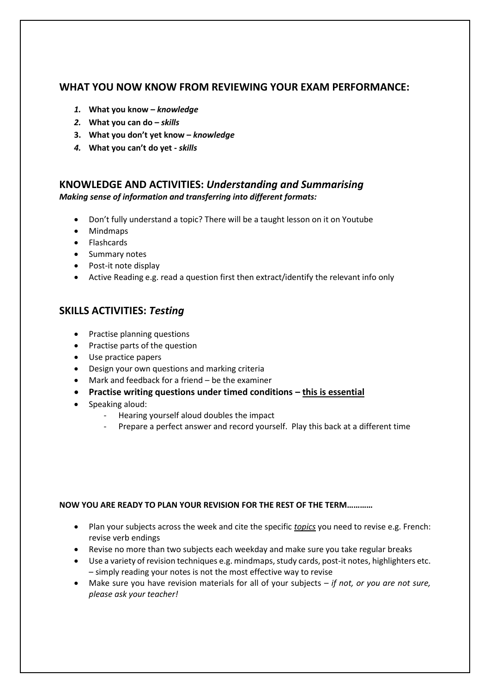# **WHAT YOU NOW KNOW FROM REVIEWING YOUR EXAM PERFORMANCE:**

- *1.* **What you know –** *knowledge*
- *2.* **What you can do –** *skills*
- **3. What you don't yet know –** *knowledge*
- *4.* **What you can't do yet -** *skills*

# **KNOWLEDGE AND ACTIVITIES:** *Understanding and Summarising*

*Making sense of information and transferring into different formats:*

- Don't fully understand a topic? There will be a taught lesson on it on Youtube
- Mindmaps
- Flashcards
- Summary notes
- Post-it note display
- Active Reading e.g. read a question first then extract/identify the relevant info only

# **SKILLS ACTIVITIES:** *Testing*

- Practise planning questions
- Practise parts of the question
- Use practice papers
- Design your own questions and marking criteria
- Mark and feedback for a friend be the examiner
- **•** Practise writing questions under timed conditions this is essential
- Speaking aloud:
	- Hearing yourself aloud doubles the impact
	- Prepare a perfect answer and record yourself. Play this back at a different time

## **NOW YOU ARE READY TO PLAN YOUR REVISION FOR THE REST OF THE TERM…………**

- Plan your subjects across the week and cite the specific *topics* you need to revise e.g. French: revise verb endings
- Revise no more than two subjects each weekday and make sure you take regular breaks
- Use a variety of revision techniques e.g. mindmaps, study cards, post-it notes, highlighters etc. – simply reading your notes is not the most effective way to revise
- Make sure you have revision materials for all of your subjects *if not, or you are not sure, please ask your teacher!*